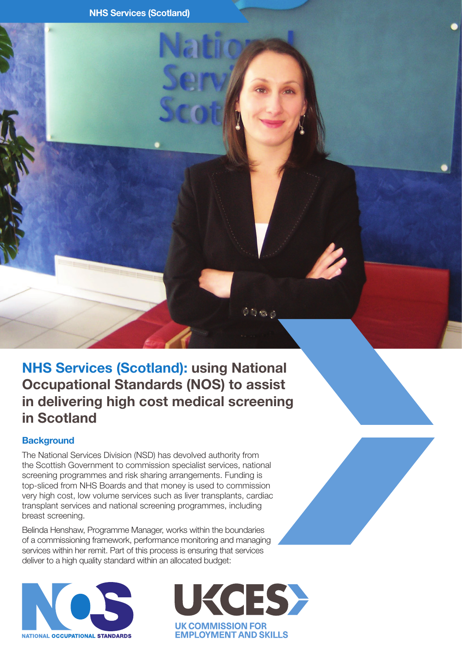# **NHS Services (Scotland): using National Occupational Standards (NOS) to assist in delivering high cost medical screening in Scotland**

## **Background**

The National Services Division (NSD) has devolved authority from the Scottish Government to commission specialist services, national screening programmes and risk sharing arrangements. Funding is top-sliced from NHS Boards and that money is used to commission very high cost, low volume services such as liver transplants, cardiac transplant services and national screening programmes, including breast screening.

Belinda Henshaw, Programme Manager, works within the boundaries of a commissioning framework, performance monitoring and managing services within her remit. Part of this process is ensuring that services deliver to a high quality standard within an allocated budget:





 $0.06$